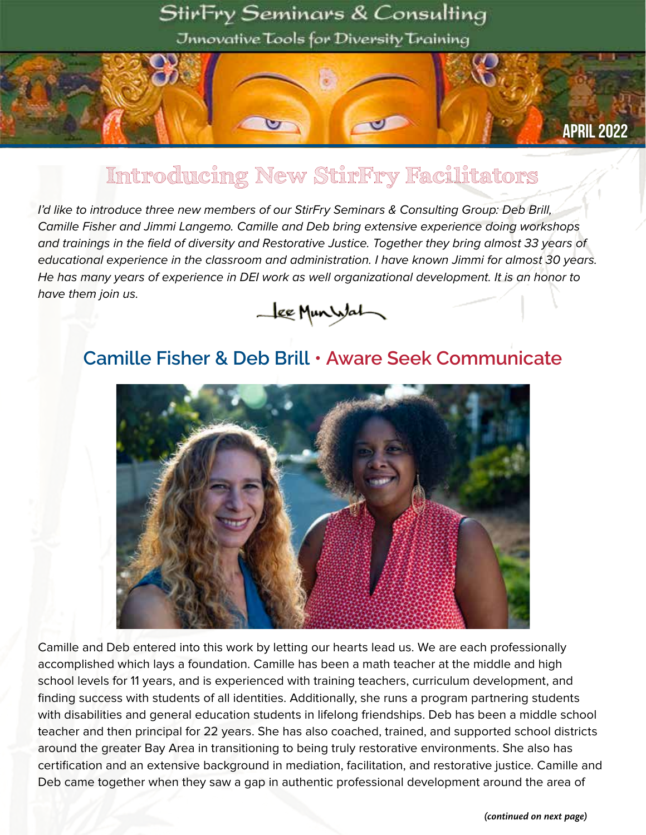### StirFry Seminars & Consulting

Jnnovative Tools for Diversity Training

#### April 2022

### Introducing New StirFry Facilitators

 $\mathbf{C}$ 

*I'd like to introduce three new members of our StirFry Seminars & Consulting Group: Deb Brill, Camille Fisher and Jimmi Langemo. Camille and Deb bring extensive experience doing workshops and trainings in the field of diversity and Restorative Justice. Together they bring almost 33 years of educational experience in the classroom and administration. I have known Jimmi for almost 30 years. He has many years of experience in DEI work as well organizational development. It is an honor to have them join us.*



#### **Camille Fisher & Deb Brill • Aware Seek Communicate**



Camille and Deb entered into this work by letting our hearts lead us. We are each professionally accomplished which lays a foundation. Camille has been a math teacher at the middle and high school levels for 11 years, and is experienced with training teachers, curriculum development, and finding success with students of all identities. Additionally, she runs a program partnering students with disabilities and general education students in lifelong friendships. Deb has been a middle school teacher and then principal for 22 years. She has also coached, trained, and supported school districts around the greater Bay Area in transitioning to being truly restorative environments. She also has certification and an extensive background in mediation, facilitation, and restorative justice. Camille and Deb came together when they saw a gap in authentic professional development around the area of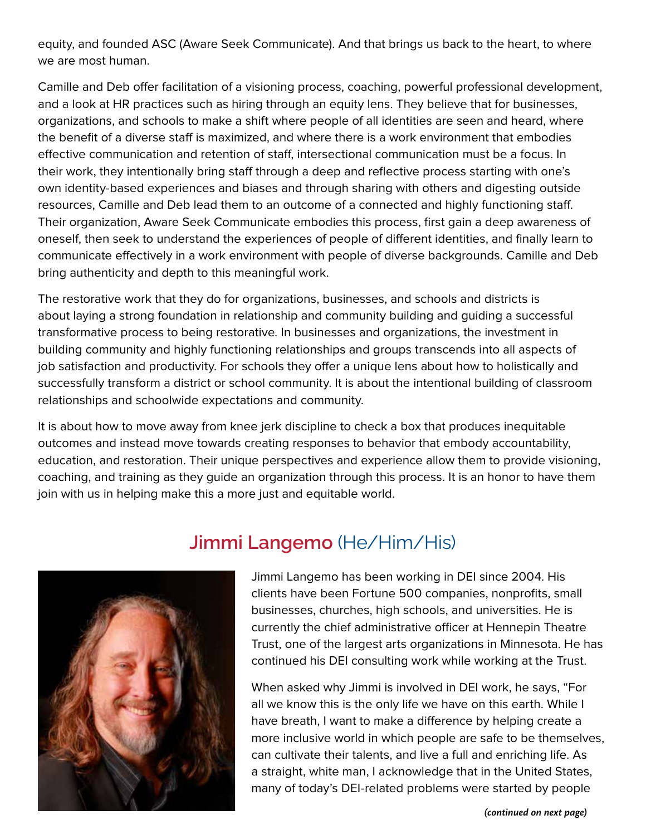equity, and founded ASC (Aware Seek Communicate). And that brings us back to the heart, to where we are most human.

Camille and Deb offer facilitation of a visioning process, coaching, powerful professional development, and a look at HR practices such as hiring through an equity lens. They believe that for businesses, organizations, and schools to make a shift where people of all identities are seen and heard, where the benefit of a diverse staff is maximized, and where there is a work environment that embodies effective communication and retention of staff, intersectional communication must be a focus. In their work, they intentionally bring staff through a deep and reflective process starting with one's own identity-based experiences and biases and through sharing with others and digesting outside resources, Camille and Deb lead them to an outcome of a connected and highly functioning staff. Their organization, Aware Seek Communicate embodies this process, first gain a deep awareness of oneself, then seek to understand the experiences of people of different identities, and finally learn to communicate effectively in a work environment with people of diverse backgrounds. Camille and Deb bring authenticity and depth to this meaningful work.

The restorative work that they do for organizations, businesses, and schools and districts is about laying a strong foundation in relationship and community building and guiding a successful transformative process to being restorative. In businesses and organizations, the investment in building community and highly functioning relationships and groups transcends into all aspects of job satisfaction and productivity. For schools they offer a unique lens about how to holistically and successfully transform a district or school community. It is about the intentional building of classroom relationships and schoolwide expectations and community.

It is about how to move away from knee jerk discipline to check a box that produces inequitable outcomes and instead move towards creating responses to behavior that embody accountability, education, and restoration. Their unique perspectives and experience allow them to provide visioning, coaching, and training as they guide an organization through this process. It is an honor to have them join with us in helping make this a more just and equitable world.



#### **Jimmi Langemo** (He/Him/His)

Jimmi Langemo has been working in DEI since 2004. His clients have been Fortune 500 companies, nonprofits, small businesses, churches, high schools, and universities. He is currently the chief administrative officer at Hennepin Theatre Trust, one of the largest arts organizations in Minnesota. He has continued his DEI consulting work while working at the Trust.

When asked why Jimmi is involved in DEI work, he says, "For all we know this is the only life we have on this earth. While I have breath, I want to make a difference by helping create a more inclusive world in which people are safe to be themselves, can cultivate their talents, and live a full and enriching life. As a straight, white man, I acknowledge that in the United States, many of today's DEI-related problems were started by people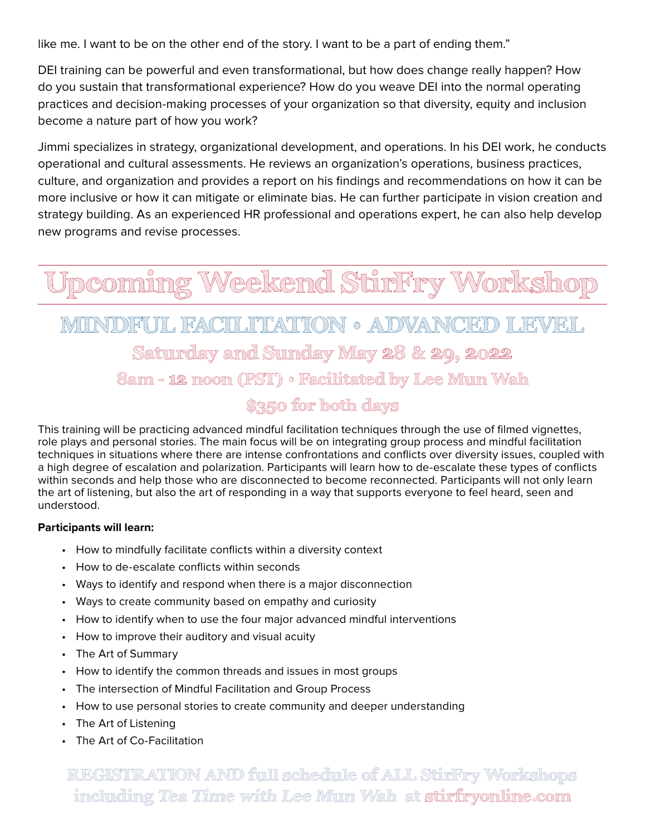like me. I want to be on the other end of the story. I want to be a part of ending them."

DEI training can be powerful and even transformational, but how does change really happen? How do you sustain that transformational experience? How do you weave DEI into the normal operating practices and decision-making processes of your organization so that diversity, equity and inclusion become a nature part of how you work?

Jimmi specializes in strategy, organizational development, and operations. In his DEI work, he conducts operational and cultural assessments. He reviews an organization's operations, business practices, culture, and organization and provides a report on his findings and recommendations on how it can be more inclusive or how it can mitigate or eliminate bias. He can further participate in vision creation and strategy building. As an experienced HR professional and operations expert, he can also help develop new programs and revise processes.

Teekend StirFry Work

## FACILITATION • ADVANCED LE Saturday and Sunday May 28 & 29, 2022 8am - 12 noon (PST) • Facilitated by Lee Mun Wah \$350 for both days

This training will be practicing advanced mindful facilitation techniques through the use of filmed vignettes, role plays and personal stories. The main focus will be on integrating group process and mindful facilitation techniques in situations where there are intense confrontations and conflicts over diversity issues, coupled with a high degree of escalation and polarization. Participants will learn how to de-escalate these types of conflicts within seconds and help those who are disconnected to become reconnected. Participants will not only learn the art of listening, but also the art of responding in a way that supports everyone to feel heard, seen and understood.

#### **Participants will learn:**

- How to mindfully facilitate conflicts within a diversity context
- How to de-escalate conflicts within seconds
- Ways to identify and respond when there is a major disconnection
- Ways to create community based on empathy and curiosity
- How to identify when to use the four major advanced mindful interventions
- How to improve their auditory and visual acuity
- The Art of Summary
- How to identify the common threads and issues in most groups
- The intersection of Mindful Facilitation and Group Process
- How to use personal stories to create community and deeper understanding
- The Art of Listening
- The Art of Co-Facilitation

REGISTRATION AND full schedule of ALL StirFry Workshops including Tea Time with Lee Mun Wah at stirfryonline.com